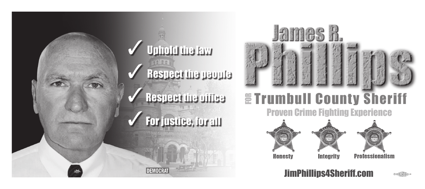



## **E Trumbull County Sheriff**

**Proven Crime Fighting Experience**